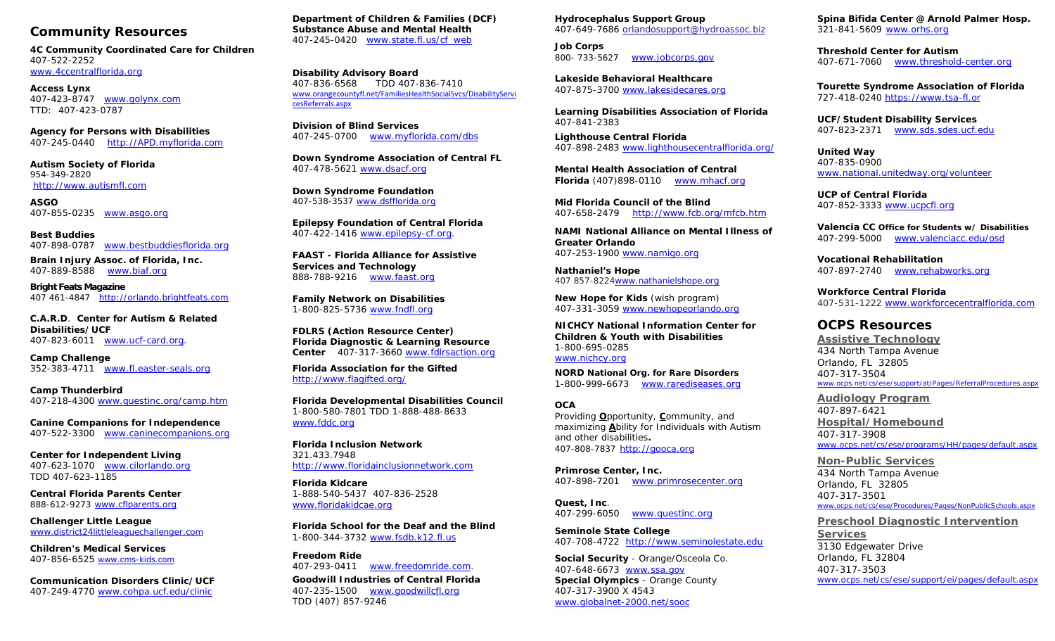# **Community Resources**

**4C Community Coordinated Care for Children** 407-522-2252 [www.4ccentralflorida.org](http://www.4ccentralflorida.org/)

**Access Lynx** 407-423-8747 [www.golynx.com](http://www.golynx.com/)  TTD: 407-423-0787

**Agency for Persons with Disabilities** 407-245-0440 [http://APD.myflorida.com](http://apd.myflorida.com/)

**Autism Society of Florida** 954-349-2820 [http://www.autismfl.com](http://www.autismfl.com/)

**ASGO** 407-855-0235 [www.asgo.org](http://www.asgo.org/)

**Best Buddies** 407-898-0787 [www.bestbuddiesflorida.org](http://www.bestbuddiesflorida.org/)

**Brain Injury Assoc. of Florida, Inc.**  407-889-8588 [www.biaf.org](http://www.biaf.org/) 

**Bright FeatsMagazine** 407 461-4847 [http://orlando.brightfeats.com](http://orlando.brightfeats.com/)

**C.A.R.D**. **Center for Autism & Related Disabilities/UCF** 407-823-6011 [www.ucf-card.org.](http://www.ucf-card.org/)

**Camp Challenge** 352-383-4711 [www.fl.easter-seals.org](http://www.fl.easter-seals.org/)

**Camp Thunderbird** 407-218-4300 [www.questinc.org/camp.htm](http://www.questinc.org/camp.htm)

**Canine Companions for Independence** 407-522-3300 [www.caninecompanions.org](http://www.caninecompanions.org/)

**Center for Independent Living** 407-623-1070 [www.cilorlando.org](http://www.cilorlando.org/)  TDD 407-623-1185

**Central Florida Parents Center** 888-612-9273 [www.cflparents.org](http://www.cflparents.org/)

**Challenger Little League** [www.district24littleleaguechallenger.com](http://www.district24littleleaguechallenger.com/)

**Children's Medical Services** 407-856-6525 [www.cms-kids.com](http://www.cms-kids.com/) 

**Communication Disorders Clinic/UCF** 407-249-4770 [www.cohpa.ucf.edu/clinic](http://www.cohpa.ucf.edu/clinic)

**Department of Children & Families (DCF) Substance Abuse and Mental Health** 407-245-0420 www.state.fl.us/cf\_web

**Disability Advisory Board**  407-836-6568 TDD 407-836-7410 [www.orangecountyfl.net/FamiliesHealthSocialSvcs/DisabilityServi](http://www.orangecountyfl.net/FamiliesHealthSocialSvcs/DisabilityServicesReferrals.aspx) [cesReferrals.aspx](http://www.orangecountyfl.net/FamiliesHealthSocialSvcs/DisabilityServicesReferrals.aspx)

**Division of Blind Services** 407-245-0700 [www.myflorida.com/dbs](http://www.myflorida.com/dbs)

**Down Syndrome Association of Central FL** 407-478-5621 [www.dsacf.org](http://www.dsacf.org/)

**Down Syndrome Foundation** 407-538-3537 [www.dsfflorida.org](http://www.dsfflorida.org/)

**Epilepsy Foundation of Central Florida** 407-422-1416 [www.epilepsy-cf.org.](http://www.epilepsy-cf.org/)

**FAAST - Florida Alliance for Assistive Services and Technology** 888-788-9216 [www.faast.org](http://www.faast.org/)

**Family Network on Disabilities** 1-800-825-5736 [www.fndfl.org](http://www.fndfl.org/)

**FDLRS (Action Resource Center) Florida Diagnostic & Learning Resource Center** 407-317-3660 [www.fdlrsaction.org](http://www.fdlrsaction.org/)

**Florida Association for the Gifted**  <http://www.flagifted.org/>

**Florida Developmental Disabilities Council**  1-800-580-7801 TDD 1-888-488-8633 [www.fddc.org](http://www.fddc.org/)

**Florida Inclusion Network** 321.433.7948 [http://www.floridainclusionnetwork.com](http://www.floridainclusionnetwork.com/)

**Florida Kidcare** 1-888-540-5437 407-836-2528 [www.floridakidcae.org](http://www.floridakidcae.org/)

**Florida School for the Deaf and the Blind** 1-800-344-3732 [www.fsdb.k12.fl.us](http://www.fsdb.k12.fl.us/)

**Freedom Ride** 407-293-0411 [www.freedomride.com.](http://www.freedomride.com/)

**Goodwill Industries of Central Florida** 407-235-1500 [www.goodwillcfl.org](http://www.goodwillcfl.org/) TDD (407) 857-9246

**Hydrocephalus Support Group** 407-649-7686 [orlandosupport@hydroassoc.biz](mailto:orlandosupport@hydroassoc.biz)

**Job Corps** 800- 733-5627[www.jobcorps.gov](http://www.jobcorps.gov/)

**Lakeside Behavioral Healthcare** 407-875-3700 [www.lakesidecares.org](http://www.lakesidecares.org/)

**Learning Disabilities Association of Florida** 407-841-2383

**Lighthouse Central Florida** 407-898-2483 [www.lighthousecentralflorida.org/](http://www.lighthousecentralflorida.org/)

**Mental Health Association of Central Florida** (407)898-0110 [www.mhacf.org](http://www.mhacf.org/)

**Mid Florida Council of the Blind** 407-658-2479 <http://www.fcb.org/mfcb.htm>

**NAMI National Alliance on Mental Illness of Greater Orlando**  407-253-1900 [www.namigo.org](http://www.namigo.org/)

**Nathaniel's Hope** 407 857-822[4www.nathanielshope.org](http://www.nathanielshope.org/)

**New Hope for Kids** (wish program) 407-331-3059 [www.newhopeorlando.org](http://www.newhopeorlando.org/)

**NICHCY National Information Center for Children & Youth with Disabilities** 1-800-695-0285 [www.nichcy.org](http://www.nichcy.org/)

**NORD National Org. for Rare Disorders** 1-800-999-6673 [www.rarediseases.org](http://www.rarediseases.org/)

#### **OCA**

Providing **O**pportunity, **C**ommunity, and maximizing **A**bility for Individuals with Autism and other disabilities**.** 407-808-7837 [http://gooca.org](http://gooca.org/)

**Primrose Center, Inc.**  407-898-7201 [www.primrosecenter.org](http://www.primrosecenter.org/)

**Quest, Inc**. www.questinc.org

**Seminole State College** 407-708-4722 [http://www.seminolestate.edu](http://www.seminolestate.edu/)

**Social Security** - Orange/Osceola Co. 407-648-6673 [www.ssa.gov](http://www.ssa.gov/) **Special Olympics** - Orange County 407-317-3900 X 4543 [www.globalnet-2000.net/sooc](http://www.globalnet-2000.net/sooc)

**Spina Bifida Center @ Arnold Palmer Hosp.** 321-841-5609 [www.orhs.org](http://www.orhs.org/) 

**Threshold Center for Autism** 407-671-7060 [www.threshold-center.org](http://www.threshold-center.org/)

**Tourette Syndrome Association of Florida** 727-418-0240 [https://www.tsa-fl.or](https://www.tsa-fl.or/)

**UCF/Student Disability Services** 407-823-2371 [www.sds.sdes.ucf.edu](http://www.sds.sdes.ucf.edu/)

**United Way**  407-835-0900 [www.national.unitedway.org/volunteer](http://www.national.unitedway.org/volunteer)

**UCP of Central Florida** 407-852-3333 [www.ucpcfl.org](http://www.ucpcfl.org/)

**Valencia CC Office for Students w/ Disabilities** 407-299-5000 [www.valenciacc.edu/osd](http://www.valenciacc.edu/osd)

**Vocational Rehabilitation** 407-897-2740 [www.rehabworks.org](http://www.rehabworks.org/)

**Workforce Central Florida** 407-531-1222 [www.workforcecentralflorida.com](http://www.workforcecentralflorida.com/)

# **OCPS Resources**

**Assistive Technology** 434 North Tampa Avenue Orlando, FL 32805 407-317-3504 [www.ocps.net/cs/ese/support/at/Pages/ReferralProcedures.aspx](https://www.ocps.net/cs/ese/support/at/Pages/ReferralProcedures.aspx)

**Audiology Program** 407-897-6421 **Hospital/Homebound** 407-317-3908 [www.ocps.net/cs/ese/programs/HH/pages/default.aspx](http://www.ocps.net/cs/ese/programs/HH/pages/default.aspx)

**Non-Public Services** 434 North Tampa Avenue Orlando, FL 32805 407-317-3501 [www.ocps.net/cs/ese/Procedures/Pages/NonPublicSchools.aspx](http://www.ocps.net/cs/ese/Procedures/Pages/NonPublicSchools.aspx)

**Preschool Diagnostic Intervention** 

**Services**  3130 Edgewater Drive Orlando, FL 32804 407-317-3503 [www.ocps.net/cs/ese/support/ei/pages/default.aspx](http://www.ocps.net/cs/ese/support/ei/pages/default.aspx)